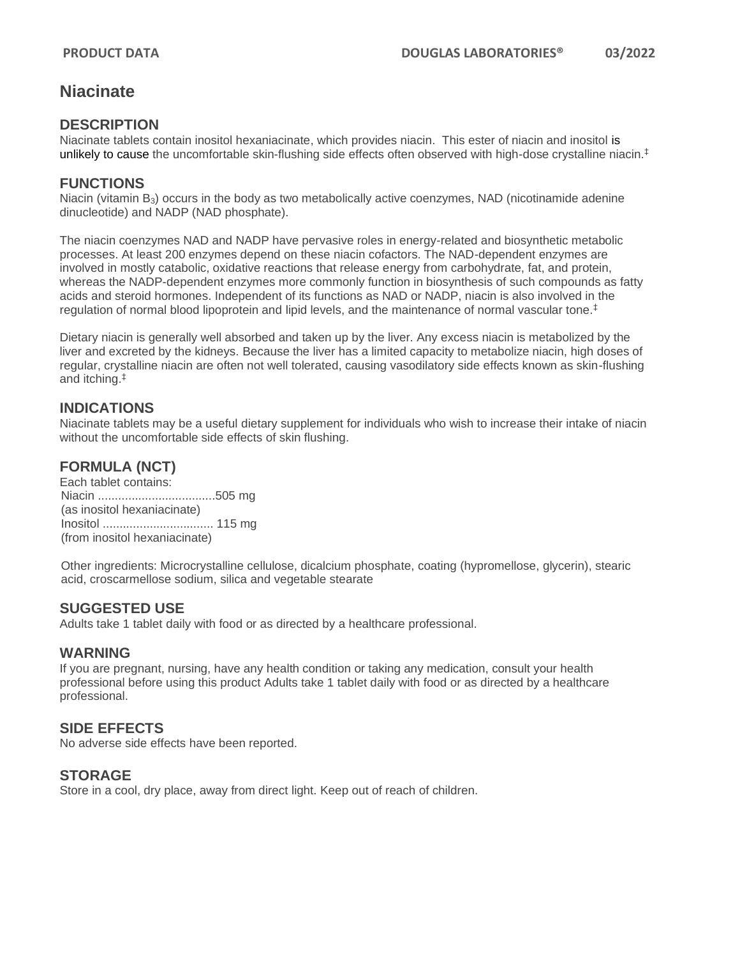# **Niacinate**

#### **DESCRIPTION**

Niacinate tablets contain inositol hexaniacinate, which provides niacin. This ester of niacin and inositol is unlikely to cause the uncomfortable skin-flushing side effects often observed with high-dose crystalline niacin.<sup>‡</sup>

#### **FUNCTIONS**

Niacin (vitamin B<sub>3</sub>) occurs in the body as two metabolically active coenzymes, NAD (nicotinamide adenine dinucleotide) and NADP (NAD phosphate).

The niacin coenzymes NAD and NADP have pervasive roles in energy-related and biosynthetic metabolic processes. At least 200 enzymes depend on these niacin cofactors. The NAD-dependent enzymes are involved in mostly catabolic, oxidative reactions that release energy from carbohydrate, fat, and protein, whereas the NADP-dependent enzymes more commonly function in biosynthesis of such compounds as fatty acids and steroid hormones. Independent of its functions as NAD or NADP, niacin is also involved in the regulation of normal blood lipoprotein and lipid levels, and the maintenance of normal vascular tone.<sup> $‡$ </sup>

Dietary niacin is generally well absorbed and taken up by the liver. Any excess niacin is metabolized by the liver and excreted by the kidneys. Because the liver has a limited capacity to metabolize niacin, high doses of regular, crystalline niacin are often not well tolerated, causing vasodilatory side effects known as skin-flushing and itching.‡

## **INDICATIONS**

Niacinate tablets may be a useful dietary supplement for individuals who wish to increase their intake of niacin without the uncomfortable side effects of skin flushing.

# **FORMULA (NCT)**

Each tablet contains: Niacin ...................................505 mg (as inositol hexaniacinate) Inositol ................................. 115 mg (from inositol hexaniacinate)

Other ingredients: Microcrystalline cellulose, dicalcium phosphate, coating (hypromellose, glycerin), stearic acid, croscarmellose sodium, silica and vegetable stearate

#### **SUGGESTED USE**

Adults take 1 tablet daily with food or as directed by a healthcare professional.

#### **WARNING**

If you are pregnant, nursing, have any health condition or taking any medication, consult your health professional before using this product Adults take 1 tablet daily with food or as directed by a healthcare professional.

## **SIDE EFFECTS**

No adverse side effects have been reported.

#### **STORAGE**

Store in a cool, dry place, away from direct light. Keep out of reach of children.